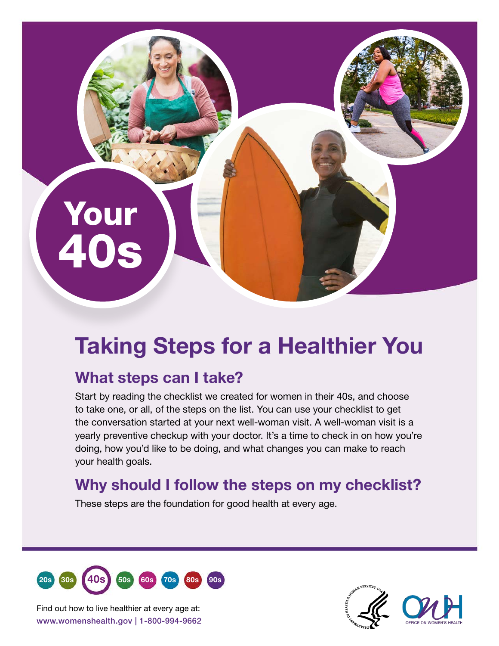# Your 40s

# Taking Steps for a Healthier You

## What steps can I take?

Start by reading the checklist we created for women in their 40s, and choose to take one, or all, of the steps on the list. You can use your checklist to get the conversation started at your next well-woman visit. A well-woman visit is a yearly preventive checkup with your doctor. It's a time to check in on how you're doing, how you'd like to be doing, and what changes you can make to reach your health goals.

## Why should I follow the steps on my checklist?

These steps are the foundation for good health at every age.



www.womenshealth.gov | 1-800-994-9662 Find out how to live healthier at every age at: